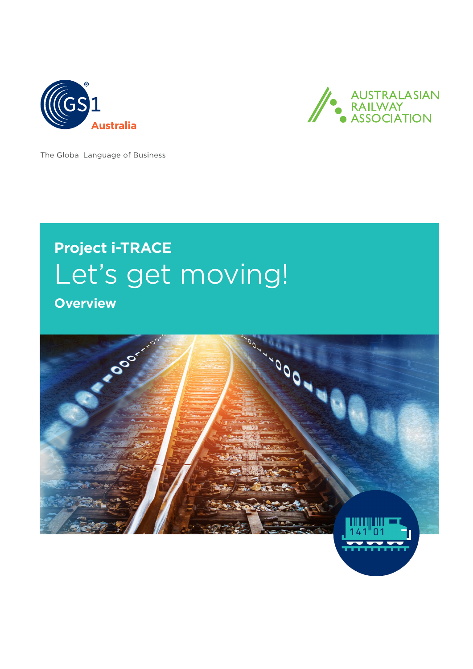



The Global Language of Business

# **Project i-TRACE** Let's get moving!

**Overview**

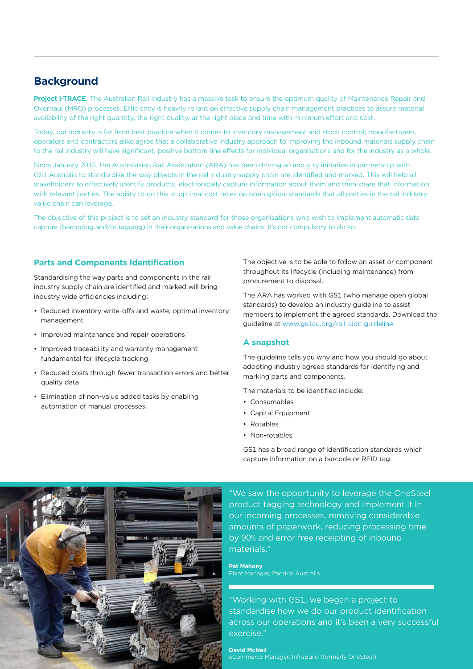# **Background**

**Project i-TRACE**, The Australian Rail Industry has a massive task to ensure the optimum quality of Maintenance Repair and Overhaul (MRO) processes. Efficiency is heavily reliant on effective supply chain management practices to assure material availability of the right quantity, the right quality, at the right place and time with minimum effort and cost.

Today, our industry is far from best practice when it comes to inventory management and stock control; manufacturers, operators and contractors alike agree that a collaborative industry approach to improving the inbound materials supply chain to the rail industry will have significant, positive bottom-line effects for individual organisations and for the industry as a whole.

Since January 2015, the Australasian Rail Association (ARA) has been driving an industry initiative in partnership with GS1 Australia to standardise the way objects in the rail industry supply chain are identified and marked. This will help all stakeholders to effectively identify products, electronically capture information about them and then share that information with relevant parties. The ability to do this at optimal cost relies on open global standards that all parties in the rail industry value chain can leverage.

The objective of this project is to set an industry standard for those organisations who wish to implement automatic data capture (barcoding and/or tagging) in their organisations and value chains. It's not compulsory to do so.

## **Parts and Components Identification**

Standardising the way parts and components in the rail industry supply chain are identified and marked will bring industry wide efficiencies including:

- Reduced inventory write-offs and waste; optimal inventory management
- Improved maintenance and repair operations
- Improved traceability and warranty management fundamental for lifecycle tracking
- Reduced costs through fewer transaction errors and better quality data
- Elimination of non-value added tasks by enabling automation of manual processes.

The objective is to be able to follow an asset or component throughout its lifecycle (including maintenance) from procurement to disposal.

The ARA has worked with GS1 (who manage open global standards) to develop an industry guideline to assist members to implement the agreed standards. Download the guideline at [www.gs1au.org/rail-aidc-guideline](https://www.gs1au.org/download/gs1au-guideline-australian-rail-aidc-implementation.pdf/file)

## **A snapshot**

The guideline tells you why and how you should go about adopting industry agreed standards for identifying and marking parts and components.

The materials to be identified include:

- Consumables
- Capital Equipment
- Rotables
- Non-rotables

GS1 has a broad range of identification standards which capture information on a barcode or RFID tag.



"We saw the opportunity to leverage the OneSteel product tagging technology and implement it in our incoming processes, removing considerable amounts of paperwork, reducing processing time by 90% and error free receipting of inbound materials."

## **Pat Mahony**

Plant Manager, Pandrol Australia

"Working with GS1, we began a project to standardise how we do our product identification across our operations and it's been a very successful exercise."

## **David McNeil**

eCommerce Manager, InfraBuild (formerly OneSteel)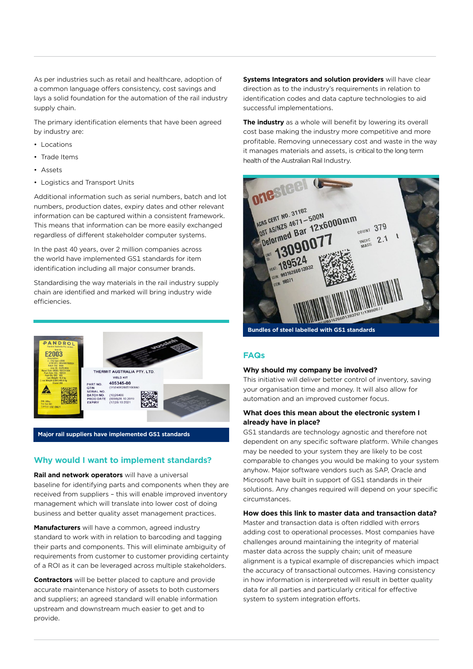As per industries such as retail and healthcare, adoption of a common language offers consistency, cost savings and lays a solid foundation for the automation of the rail industry supply chain.

The primary identification elements that have been agreed by industry are:

- Locations
- Trade Items
- Assets
- Logistics and Transport Units

Additional information such as serial numbers, batch and lot numbers, production dates, expiry dates and other relevant information can be captured within a consistent framework. This means that information can be more easily exchanged regardless of different stakeholder computer systems.

In the past 40 years, over 2 million companies across the world have implemented GS1 standards for item identification including all major consumer brands.

Standardising the way materials in the rail industry supply chain are identified and marked will bring industry wide efficiencies.



**Major rail suppliers have implemented GS1 standards**

#### **Why would I want to implement standards?**

**Rail and network operators** will have a universal baseline for identifying parts and components when they are received from suppliers – this will enable improved inventory management which will translate into lower cost of doing business and better quality asset management practices.

**Manufacturers** will have a common, agreed industry standard to work with in relation to barcoding and tagging their parts and components. This will eliminate ambiguity of requirements from customer to customer providing certainty of a ROI as it can be leveraged across multiple stakeholders.

**Contractors** will be better placed to capture and provide accurate maintenance history of assets to both customers and suppliers; an agreed standard will enable information upstream and downstream much easier to get and to provide.

**Systems Integrators and solution providers** will have clear direction as to the industry's requirements in relation to identification codes and data capture technologies to aid successful implementations.

**The industry** as a whole will benefit by lowering its overall cost base making the industry more competitive and more profitable. Removing unnecessary cost and waste in the way it manages materials and assets, is critical to the long term health of the Australian Rail Industry.



**Bundles of steel labelled with GS1 standards**

#### **FAQs**

#### **Why should my company be involved?**

This initiative will deliver better control of inventory, saving your organisation time and money. It will also allow for automation and an improved customer focus.

#### **What does this mean about the electronic system I already have in place?**

GS1 standards are technology agnostic and therefore not dependent on any specific software platform. While changes may be needed to your system they are likely to be cost comparable to changes you would be making to your system anyhow. Major software vendors such as SAP, Oracle and Microsoft have built in support of GS1 standards in their solutions. Any changes required will depend on your specific circumstances.

#### **How does this link to master data and transaction data?**

Master and transaction data is often riddled with errors adding cost to operational processes. Most companies have challenges around maintaining the integrity of material master data across the supply chain; unit of measure alignment is a typical example of discrepancies which impact the accuracy of transactional outcomes. Having consistency in how information is interpreted will result in better quality data for all parties and particularly critical for effective system to system integration efforts.